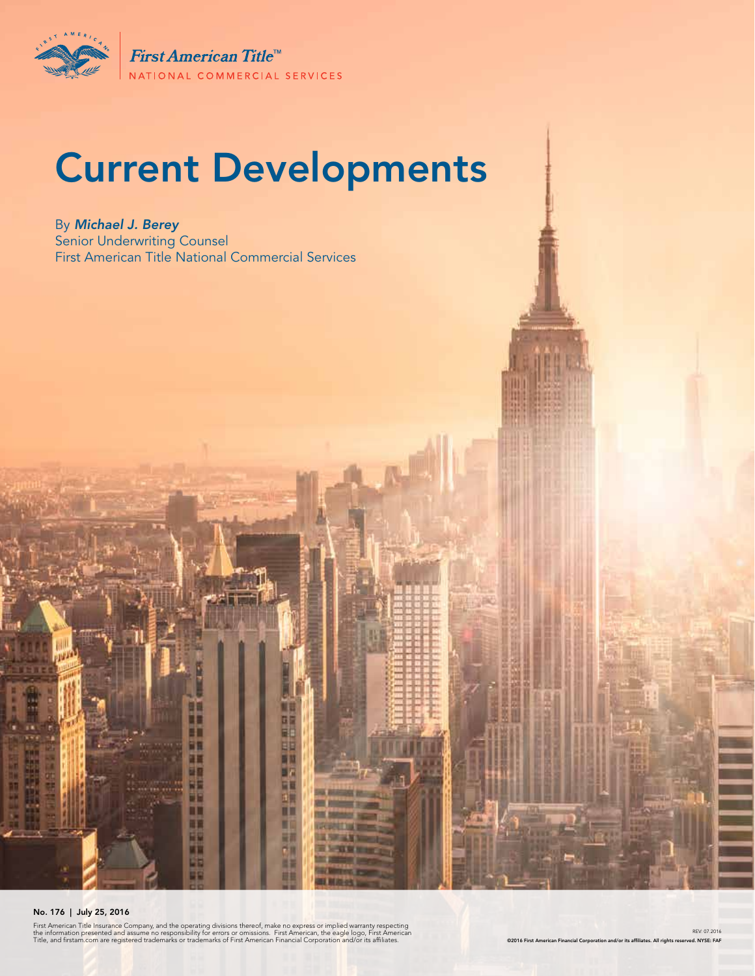

First American Title<sup>™</sup> NATIONAL COMMERCIAL SERVICES

# Current Developments

By *Michael J. Berey*  Senior Underwriting Counsel First American Title National Commercial Services

#### No. 176 | July 25, 2016

First American Title Insurance Company, and the operating divisions thereof, make no express or implied warranty respecting<br>the information presented and assume no responsibility for errors or omissions. First American, th

т

m ĦΠ Ŧ ü٣ 弫

די

m

m

围

阳

ш

四国

R

EC.

Ш

п

細 cп

ш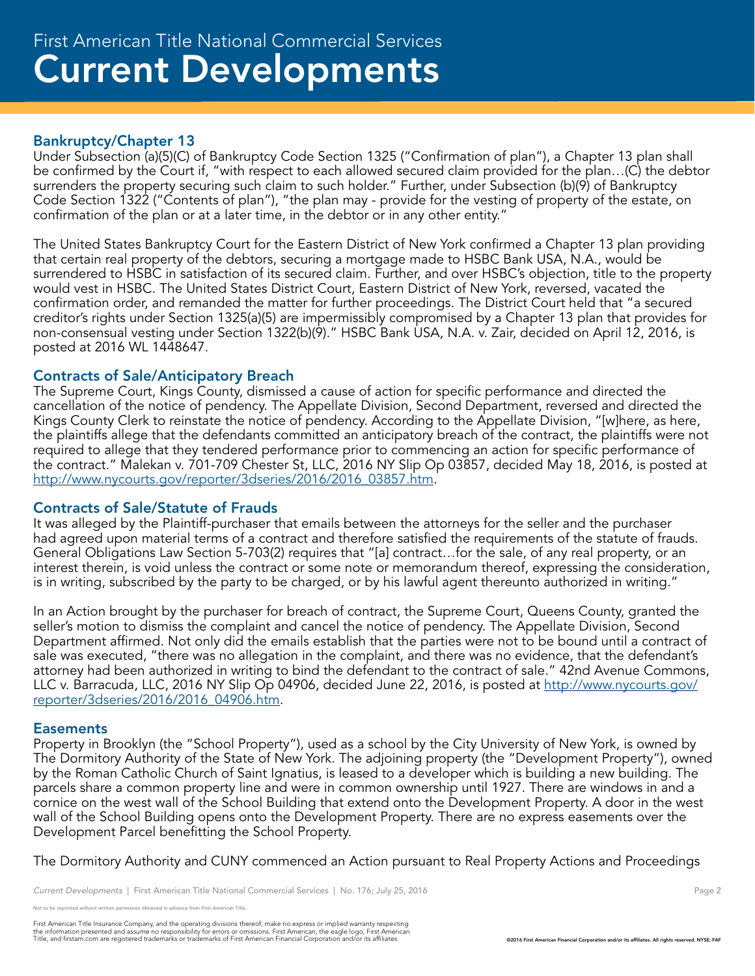#### Bankruptcy/Chapter 13

Under Subsection (a)(5)(C) of Bankruptcy Code Section 1325 ("Confirmation of plan"), a Chapter 13 plan shall be confirmed by the Court if, "with respect to each allowed secured claim provided for the plan…(C) the debtor surrenders the property securing such claim to such holder." Further, under Subsection (b)(9) of Bankruptcy Code Section 1322 ("Contents of plan"), "the plan may - provide for the vesting of property of the estate, on confirmation of the plan or at a later time, in the debtor or in any other entity."

The United States Bankruptcy Court for the Eastern District of New York confirmed a Chapter 13 plan providing that certain real property of the debtors, securing a mortgage made to HSBC Bank USA, N.A., would be surrendered to HSBC in satisfaction of its secured claim. Further, and over HSBC's objection, title to the property would vest in HSBC. The United States District Court, Eastern District of New York, reversed, vacated the confirmation order, and remanded the matter for further proceedings. The District Court held that "a secured creditor's rights under Section 1325(a)(5) are impermissibly compromised by a Chapter 13 plan that provides for non-consensual vesting under Section 1322(b)(9)." HSBC Bank USA, N.A. v. Zair, decided on April 12, 2016, is posted at 2016 WL 1448647.

#### Contracts of Sale/Anticipatory Breach

The Supreme Court, Kings County, dismissed a cause of action for specific performance and directed the cancellation of the notice of pendency. The Appellate Division, Second Department, reversed and directed the Kings County Clerk to reinstate the notice of pendency. According to the Appellate Division, "[w]here, as here, the plaintiffs allege that the defendants committed an anticipatory breach of the contract, the plaintiffs were not required to allege that they tendered performance prior to commencing an action for specific performance of the contract." Malekan v. 701-709 Chester St, LLC, 2016 NY Slip Op 03857, decided May 18, 2016, is posted at http://www.nycourts.gov/reporter/3dseries/2016/2016\_03857.htm.

#### Contracts of Sale/Statute of Frauds

It was alleged by the Plaintiff-purchaser that emails between the attorneys for the seller and the purchaser had agreed upon material terms of a contract and therefore satisfied the requirements of the statute of frauds. General Obligations Law Section 5-703(2) requires that "[a] contract…for the sale, of any real property, or an interest therein, is void unless the contract or some note or memorandum thereof, expressing the consideration, is in writing, subscribed by the party to be charged, or by his lawful agent thereunto authorized in writing."

In an Action brought by the purchaser for breach of contract, the Supreme Court, Queens County, granted the seller's motion to dismiss the complaint and cancel the notice of pendency. The Appellate Division, Second Department affirmed. Not only did the emails establish that the parties were not to be bound until a contract of sale was executed, "there was no allegation in the complaint, and there was no evidence, that the defendant's attorney had been authorized in writing to bind the defendant to the contract of sale." 42nd Avenue Commons, LLC v. Barracuda, LLC, 2016 NY Slip Op 04906, decided June 22, 2016, is posted at http://www.nycourts.gov/ reporter/3dseries/2016/2016\_04906.htm.

#### **Easements**

Property in Brooklyn (the "School Property"), used as a school by the City University of New York, is owned by The Dormitory Authority of the State of New York. The adjoining property (the "Development Property"), owned by the Roman Catholic Church of Saint Ignatius, is leased to a developer which is building a new building. The parcels share a common property line and were in common ownership until 1927. There are windows in and a cornice on the west wall of the School Building that extend onto the Development Property. A door in the west wall of the School Building opens onto the Development Property. There are no express easements over the Development Parcel benefitting the School Property.

The Dormitory Authority and CUNY commenced an Action pursuant to Real Property Actions and Proceedings

e reprinted without written permission obtained in advance from First American Title.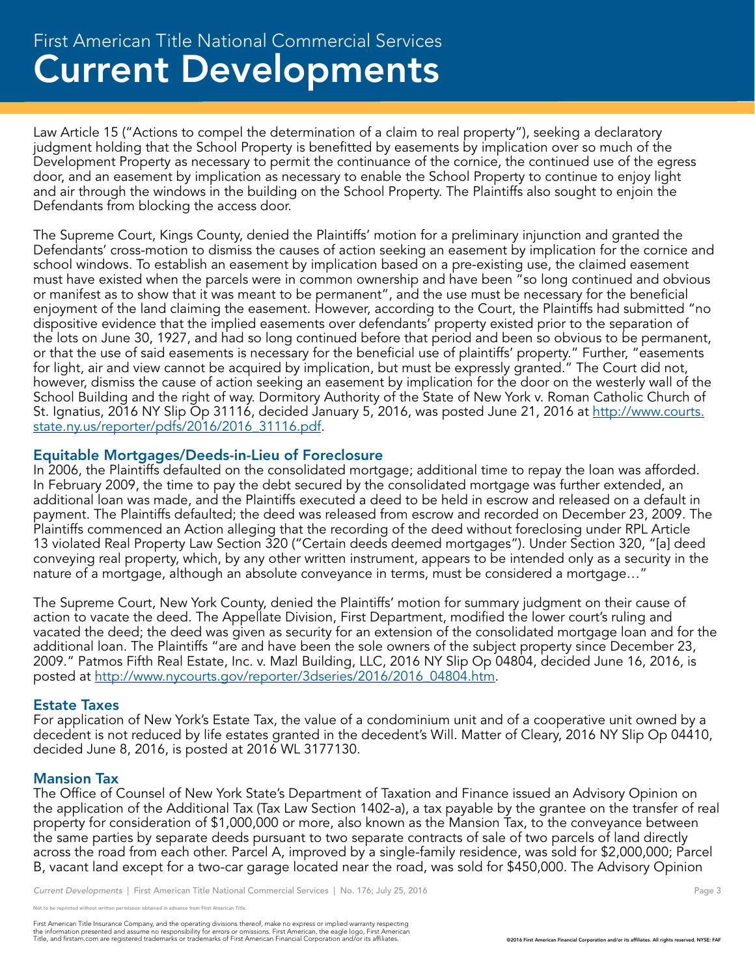## Current Developments First American Title National Commercial Services

Law Article 15 ("Actions to compel the determination of a claim to real property"), seeking a declaratory judgment holding that the School Property is benefitted by easements by implication over so much of the Development Property as necessary to permit the continuance of the cornice, the continued use of the egress door, and an easement by implication as necessary to enable the School Property to continue to enjoy light and air through the windows in the building on the School Property. The Plaintiffs also sought to enjoin the Defendants from blocking the access door.

The Supreme Court, Kings County, denied the Plaintiffs' motion for a preliminary injunction and granted the Defendants' cross-motion to dismiss the causes of action seeking an easement by implication for the cornice and school windows. To establish an easement by implication based on a pre-existing use, the claimed easement must have existed when the parcels were in common ownership and have been "so long continued and obvious or manifest as to show that it was meant to be permanent", and the use must be necessary for the beneficial enjoyment of the land claiming the easement. However, according to the Court, the Plaintiffs had submitted "no dispositive evidence that the implied easements over defendants' property existed prior to the separation of the lots on June 30, 1927, and had so long continued before that period and been so obvious to be permanent, or that the use of said easements is necessary for the beneficial use of plaintiffs' property." Further, "easements for light, air and view cannot be acquired by implication, but must be expressly granted." The Court did not, however, dismiss the cause of action seeking an easement by implication for the door on the westerly wall of the School Building and the right of way. Dormitory Authority of the State of New York v. Roman Catholic Church of St. Ignatius, 2016 NY Slip Op 31116, decided January 5, 2016, was posted June 21, 2016 at <u>http://www.courts.</u> state.ny.us/reporter/pdfs/2016/2016\_31116.pdf.

#### Equitable Mortgages/Deeds-in-Lieu of Foreclosure

In 2006, the Plaintiffs defaulted on the consolidated mortgage; additional time to repay the loan was afforded. In February 2009, the time to pay the debt secured by the consolidated mortgage was further extended, an additional loan was made, and the Plaintiffs executed a deed to be held in escrow and released on a default in payment. The Plaintiffs defaulted; the deed was released from escrow and recorded on December 23, 2009. The Plaintiffs commenced an Action alleging that the recording of the deed without foreclosing under RPL Article 13 violated Real Property Law Section 320 ("Certain deeds deemed mortgages"). Under Section 320, "[a] deed conveying real property, which, by any other written instrument, appears to be intended only as a security in the nature of a mortgage, although an absolute conveyance in terms, must be considered a mortgage…"

The Supreme Court, New York County, denied the Plaintiffs' motion for summary judgment on their cause of action to vacate the deed. The Appellate Division, First Department, modified the lower court's ruling and vacated the deed; the deed was given as security for an extension of the consolidated mortgage loan and for the additional loan. The Plaintiffs "are and have been the sole owners of the subject property since December 23, 2009." Patmos Fifth Real Estate, Inc. v. Mazl Building, LLC, 2016 NY Slip Op 04804, decided June 16, 2016, is posted at http://www.nycourts.gov/reporter/3dseries/2016/2016\_04804.htm.

#### Estate Taxes

For application of New York's Estate Tax, the value of a condominium unit and of a cooperative unit owned by a decedent is not reduced by life estates granted in the decedent's Will. Matter of Cleary, 2016 NY Slip Op 04410, decided June 8, 2016, is posted at 2016 WL 3177130.

#### Mansion Tax

The Office of Counsel of New York State's Department of Taxation and Finance issued an Advisory Opinion on the application of the Additional Tax (Tax Law Section 1402-a), a tax payable by the grantee on the transfer of real property for consideration of \$1,000,000 or more, also known as the Mansion Tax, to the conveyance between the same parties by separate deeds pursuant to two separate contracts of sale of two parcels of land directly across the road from each other. Parcel A, improved by a single-family residence, was sold for \$2,000,000; Parcel B, vacant land except for a two-car garage located near the road, was sold for \$450,000. The Advisory Opinion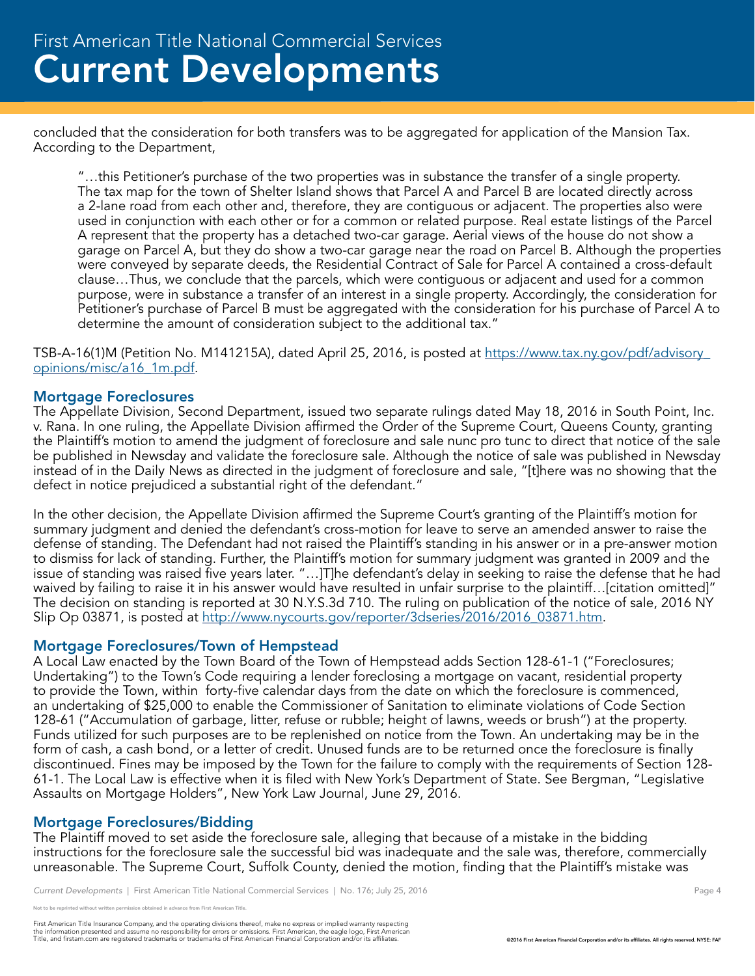concluded that the consideration for both transfers was to be aggregated for application of the Mansion Tax. According to the Department,

"…this Petitioner's purchase of the two properties was in substance the transfer of a single property. The tax map for the town of Shelter Island shows that Parcel A and Parcel B are located directly across a 2-lane road from each other and, therefore, they are contiguous or adjacent. The properties also were used in conjunction with each other or for a common or related purpose. Real estate listings of the Parcel A represent that the property has a detached two-car garage. Aerial views of the house do not show a garage on Parcel A, but they do show a two-car garage near the road on Parcel B. Although the properties were conveyed by separate deeds, the Residential Contract of Sale for Parcel A contained a cross-default clause…Thus, we conclude that the parcels, which were contiguous or adjacent and used for a common purpose, were in substance a transfer of an interest in a single property. Accordingly, the consideration for Petitioner's purchase of Parcel B must be aggregated with the consideration for his purchase of Parcel A to determine the amount of consideration subject to the additional tax."

TSB-A-16(1)M (Petition No. M141215A), dated April 25, 2016, is posted at https://www.tax.ny.gov/pdf/advisory\_ opinions/misc/a16\_1m.pdf.

#### Mortgage Foreclosures

The Appellate Division, Second Department, issued two separate rulings dated May 18, 2016 in South Point, Inc. v. Rana. In one ruling, the Appellate Division affirmed the Order of the Supreme Court, Queens County, granting the Plaintiff's motion to amend the judgment of foreclosure and sale nunc pro tunc to direct that notice of the sale be published in Newsday and validate the foreclosure sale. Although the notice of sale was published in Newsday instead of in the Daily News as directed in the judgment of foreclosure and sale, "[t]here was no showing that the defect in notice prejudiced a substantial right of the defendant."

In the other decision, the Appellate Division affirmed the Supreme Court's granting of the Plaintiff's motion for summary judgment and denied the defendant's cross-motion for leave to serve an amended answer to raise the defense of standing. The Defendant had not raised the Plaintiff's standing in his answer or in a pre-answer motion to dismiss for lack of standing. Further, the Plaintiff's motion for summary judgment was granted in 2009 and the issue of standing was raised five years later. "…]T]he defendant's delay in seeking to raise the defense that he had waived by failing to raise it in his answer would have resulted in unfair surprise to the plaintiff…[citation omitted]" The decision on standing is reported at 30 N.Y.S.3d 710. The ruling on publication of the notice of sale, 2016 NY Slip Op 03871, is posted at http://www.nycourts.gov/reporter/3dseries/2016/2016\_03871.htm.

#### Mortgage Foreclosures/Town of Hempstead

A Local Law enacted by the Town Board of the Town of Hempstead adds Section 128-61-1 ("Foreclosures; Undertaking") to the Town's Code requiring a lender foreclosing a mortgage on vacant, residential property to provide the Town, within forty-five calendar days from the date on which the foreclosure is commenced, an undertaking of \$25,000 to enable the Commissioner of Sanitation to eliminate violations of Code Section 128-61 ("Accumulation of garbage, litter, refuse or rubble; height of lawns, weeds or brush") at the property. Funds utilized for such purposes are to be replenished on notice from the Town. An undertaking may be in the form of cash, a cash bond, or a letter of credit. Unused funds are to be returned once the foreclosure is finally discontinued. Fines may be imposed by the Town for the failure to comply with the requirements of Section 128- 61-1. The Local Law is effective when it is filed with New York's Department of State. See Bergman, "Legislative Assaults on Mortgage Holders", New York Law Journal, June 29, 2016.

#### Mortgage Foreclosures/Bidding

The Plaintiff moved to set aside the foreclosure sale, alleging that because of a mistake in the bidding instructions for the foreclosure sale the successful bid was inadequate and the sale was, therefore, commercially unreasonable. The Supreme Court, Suffolk County, denied the motion, finding that the Plaintiff's mistake was

reprinted without written permission obtained in advance from First American Title.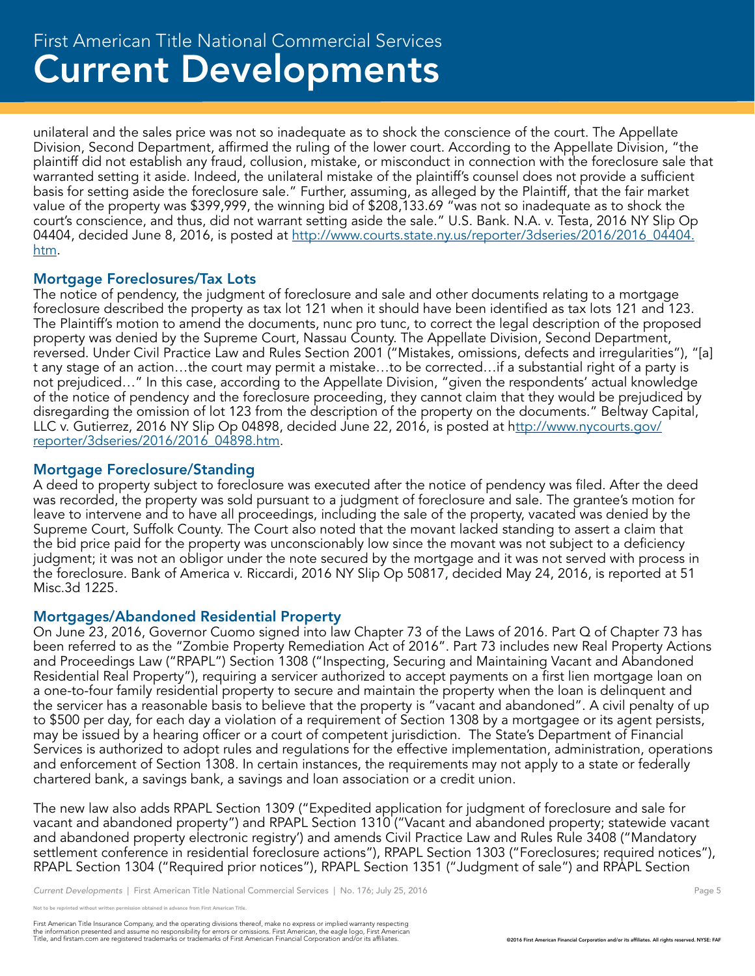unilateral and the sales price was not so inadequate as to shock the conscience of the court. The Appellate Division, Second Department, affirmed the ruling of the lower court. According to the Appellate Division, "the plaintiff did not establish any fraud, collusion, mistake, or misconduct in connection with the foreclosure sale that warranted setting it aside. Indeed, the unilateral mistake of the plaintiff's counsel does not provide a sufficient basis for setting aside the foreclosure sale." Further, assuming, as alleged by the Plaintiff, that the fair market value of the property was \$399,999, the winning bid of \$208,133.69 "was not so inadequate as to shock the court's conscience, and thus, did not warrant setting aside the sale." U.S. Bank. N.A. v. Testa, 2016 NY Slip Op 04404, decided June 8, 2016, is posted at http://www.courts.state.ny.us/reporter/3dseries/2016/2016\_04404. htm.

#### Mortgage Foreclosures/Tax Lots

The notice of pendency, the judgment of foreclosure and sale and other documents relating to a mortgage foreclosure described the property as tax lot 121 when it should have been identified as tax lots 121 and 123. The Plaintiff's motion to amend the documents, nunc pro tunc, to correct the legal description of the proposed property was denied by the Supreme Court, Nassau County. The Appellate Division, Second Department, reversed. Under Civil Practice Law and Rules Section 2001 ("Mistakes, omissions, defects and irregularities"), "[a] t any stage of an action…the court may permit a mistake…to be corrected…if a substantial right of a party is not prejudiced…" In this case, according to the Appellate Division, "given the respondents' actual knowledge of the notice of pendency and the foreclosure proceeding, they cannot claim that they would be prejudiced by disregarding the omission of lot 123 from the description of the property on the documents." Beltway Capital, LLC v. Gutierrez, 2016 NY Slip Op 04898, decided June 22, 2016, is posted at http://www.nycourts.gov/ reporter/3dseries/2016/2016\_04898.htm.

#### Mortgage Foreclosure/Standing

A deed to property subject to foreclosure was executed after the notice of pendency was filed. After the deed was recorded, the property was sold pursuant to a judgment of foreclosure and sale. The grantee's motion for leave to intervene and to have all proceedings, including the sale of the property, vacated was denied by the Supreme Court, Suffolk County. The Court also noted that the movant lacked standing to assert a claim that the bid price paid for the property was unconscionably low since the movant was not subject to a deficiency judgment; it was not an obligor under the note secured by the mortgage and it was not served with process in the foreclosure. Bank of America v. Riccardi, 2016 NY Slip Op 50817, decided May 24, 2016, is reported at 51 Misc.3d 1225.

#### Mortgages/Abandoned Residential Property

On June 23, 2016, Governor Cuomo signed into law Chapter 73 of the Laws of 2016. Part Q of Chapter 73 has been referred to as the "Zombie Property Remediation Act of 2016". Part 73 includes new Real Property Actions and Proceedings Law ("RPAPL") Section 1308 ("Inspecting, Securing and Maintaining Vacant and Abandoned Residential Real Property"), requiring a servicer authorized to accept payments on a first lien mortgage loan on a one-to-four family residential property to secure and maintain the property when the loan is delinquent and the servicer has a reasonable basis to believe that the property is "vacant and abandoned". A civil penalty of up to \$500 per day, for each day a violation of a requirement of Section 1308 by a mortgagee or its agent persists, may be issued by a hearing officer or a court of competent jurisdiction. The State's Department of Financial Services is authorized to adopt rules and regulations for the effective implementation, administration, operations and enforcement of Section 1308. In certain instances, the requirements may not apply to a state or federally chartered bank, a savings bank, a savings and loan association or a credit union.

The new law also adds RPAPL Section 1309 ("Expedited application for judgment of foreclosure and sale for vacant and abandoned property") and RPAPL Section 1310 ("Vacant and abandoned property; statewide vacant and abandoned property electronic registry') and amends Civil Practice Law and Rules Rule 3408 ("Mandatory settlement conference in residential foreclosure actions"), RPAPL Section 1303 ("Foreclosures; required notices"), RPAPL Section 1304 ("Required prior notices"), RPAPL Section 1351 ("Judgment of sale") and RPAPL Section

reprinted without written permission obtained in advance from First American Title.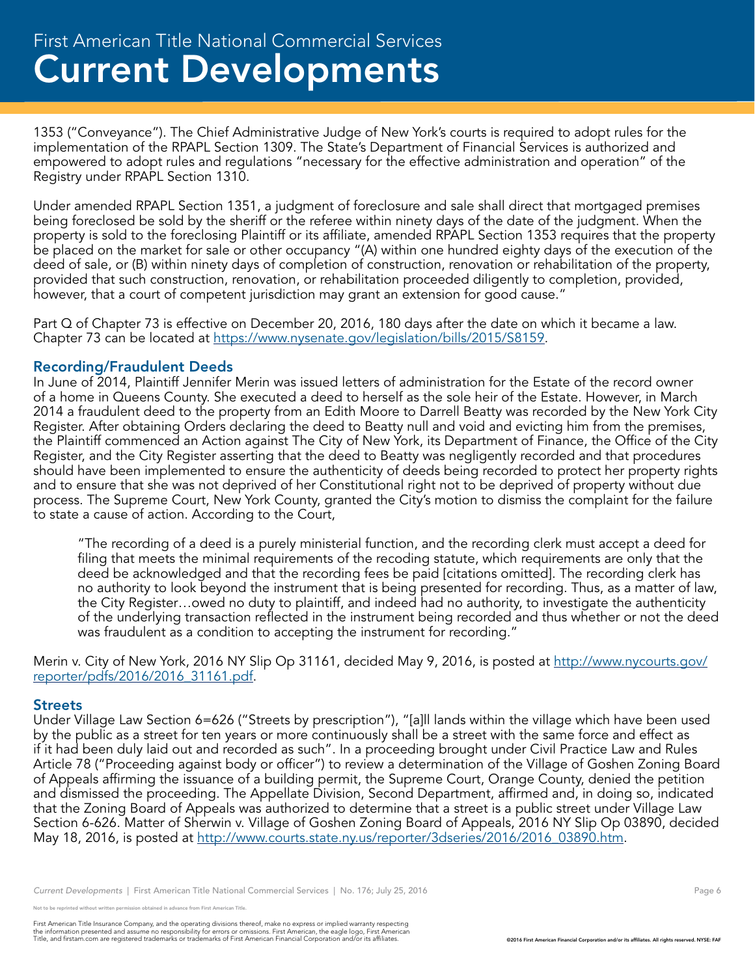1353 ("Conveyance"). The Chief Administrative Judge of New York's courts is required to adopt rules for the implementation of the RPAPL Section 1309. The State's Department of Financial Services is authorized and empowered to adopt rules and regulations "necessary for the effective administration and operation" of the Registry under RPAPL Section 1310.

Under amended RPAPL Section 1351, a judgment of foreclosure and sale shall direct that mortgaged premises being foreclosed be sold by the sheriff or the referee within ninety days of the date of the judgment. When the property is sold to the foreclosing Plaintiff or its affiliate, amended RPAPL Section 1353 requires that the property be placed on the market for sale or other occupancy "(A) within one hundred eighty days of the execution of the deed of sale, or (B) within ninety days of completion of construction, renovation or rehabilitation of the property, provided that such construction, renovation, or rehabilitation proceeded diligently to completion, provided, however, that a court of competent jurisdiction may grant an extension for good cause."

Part Q of Chapter 73 is effective on December 20, 2016, 180 days after the date on which it became a law. Chapter 73 can be located at https://www.nysenate.gov/legislation/bills/2015/S8159.

#### Recording/Fraudulent Deeds

In June of 2014, Plaintiff Jennifer Merin was issued letters of administration for the Estate of the record owner of a home in Queens County. She executed a deed to herself as the sole heir of the Estate. However, in March 2014 a fraudulent deed to the property from an Edith Moore to Darrell Beatty was recorded by the New York City Register. After obtaining Orders declaring the deed to Beatty null and void and evicting him from the premises, the Plaintiff commenced an Action against The City of New York, its Department of Finance, the Office of the City Register, and the City Register asserting that the deed to Beatty was negligently recorded and that procedures should have been implemented to ensure the authenticity of deeds being recorded to protect her property rights and to ensure that she was not deprived of her Constitutional right not to be deprived of property without due process. The Supreme Court, New York County, granted the City's motion to dismiss the complaint for the failure to state a cause of action. According to the Court,

"The recording of a deed is a purely ministerial function, and the recording clerk must accept a deed for filing that meets the minimal requirements of the recoding statute, which requirements are only that the deed be acknowledged and that the recording fees be paid [citations omitted]. The recording clerk has no authority to look beyond the instrument that is being presented for recording. Thus, as a matter of law, the City Register…owed no duty to plaintiff, and indeed had no authority, to investigate the authenticity of the underlying transaction reflected in the instrument being recorded and thus whether or not the deed was fraudulent as a condition to accepting the instrument for recording."

Merin v. City of New York, 2016 NY Slip Op 31161, decided May 9, 2016, is posted at http://www.nycourts.gov/ reporter/pdfs/2016/2016\_31161.pdf.

#### **Streets**

Under Village Law Section 6=626 ("Streets by prescription"), "[a]ll lands within the village which have been used by the public as a street for ten years or more continuously shall be a street with the same force and effect as if it had been duly laid out and recorded as such". In a proceeding brought under Civil Practice Law and Rules Article 78 ("Proceeding against body or officer") to review a determination of the Village of Goshen Zoning Board of Appeals affirming the issuance of a building permit, the Supreme Court, Orange County, denied the petition and dismissed the proceeding. The Appellate Division, Second Department, affirmed and, in doing so, indicated that the Zoning Board of Appeals was authorized to determine that a street is a public street under Village Law Section 6-626. Matter of Sherwin v. Village of Goshen Zoning Board of Appeals, 2016 NY Slip Op 03890, decided May 18, 2016, is posted at http://www.courts.state.ny.us/reporter/3dseries/2016/2016\_03890.htm.

*Current Developments* | First American Title National Commercial Services | No. 176; July 25, 2016 Page 6 Page 6

e reprinted without written permission obtained in advance from First American Title.